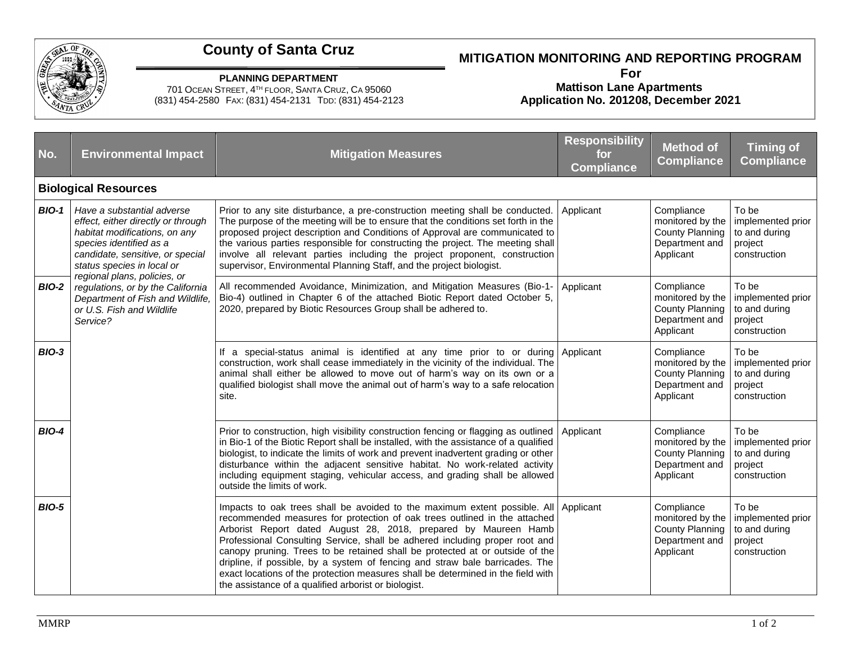

## **County of Santa Cruz**

## **MITIGATION MONITORING AND REPORTING PROGRAM**

**PLANNING DEPARTMENT**

701 OCEAN STREET, 4 TH FLOOR, SANTA CRUZ, CA 95060 (831) 454-2580 FAX: (831) 454-2131 TDD: (831) 454-2123

## **For Mattison Lane Apartments Application No. 201208, December 2021**

| No.                         | <b>Environmental Impact</b>                                                                                                                                                                                                                                                                                                                      | <b>Mitigation Measures</b>                                                                                                                                                                                                                                                                                                                                                                                                                                                                                                                                                                                                     | <b>Responsibility</b><br>for<br><b>Compliance</b> | <b>Method of</b><br><b>Compliance</b>                                                   | <b>Timing of</b><br><b>Compliance</b>                                  |  |  |  |  |
|-----------------------------|--------------------------------------------------------------------------------------------------------------------------------------------------------------------------------------------------------------------------------------------------------------------------------------------------------------------------------------------------|--------------------------------------------------------------------------------------------------------------------------------------------------------------------------------------------------------------------------------------------------------------------------------------------------------------------------------------------------------------------------------------------------------------------------------------------------------------------------------------------------------------------------------------------------------------------------------------------------------------------------------|---------------------------------------------------|-----------------------------------------------------------------------------------------|------------------------------------------------------------------------|--|--|--|--|
| <b>Biological Resources</b> |                                                                                                                                                                                                                                                                                                                                                  |                                                                                                                                                                                                                                                                                                                                                                                                                                                                                                                                                                                                                                |                                                   |                                                                                         |                                                                        |  |  |  |  |
| <b>BIO-1</b>                | Have a substantial adverse<br>effect, either directly or through<br>habitat modifications, on any<br>species identified as a<br>candidate, sensitive, or special<br>status species in local or<br>regional plans, policies, or<br>regulations, or by the California<br>Department of Fish and Wildlife,<br>or U.S. Fish and Wildlife<br>Service? | Prior to any site disturbance, a pre-construction meeting shall be conducted.<br>The purpose of the meeting will be to ensure that the conditions set forth in the<br>proposed project description and Conditions of Approval are communicated to<br>the various parties responsible for constructing the project. The meeting shall<br>involve all relevant parties including the project proponent, construction<br>supervisor, Environmental Planning Staff, and the project biologist.                                                                                                                                     | Applicant                                         | Compliance<br>monitored by the<br>County Planning<br>Department and<br>Applicant        | To be<br>implemented prior<br>to and during<br>project<br>construction |  |  |  |  |
| <b>BIO-2</b>                |                                                                                                                                                                                                                                                                                                                                                  | All recommended Avoidance, Minimization, and Mitigation Measures (Bio-1-<br>Bio-4) outlined in Chapter 6 of the attached Biotic Report dated October 5,<br>2020, prepared by Biotic Resources Group shall be adhered to.                                                                                                                                                                                                                                                                                                                                                                                                       | Applicant                                         | Compliance<br>monitored by the<br>County Planning<br>Department and<br>Applicant        | To be<br>implemented prior<br>to and during<br>project<br>construction |  |  |  |  |
| <b>BIO-3</b>                |                                                                                                                                                                                                                                                                                                                                                  | If a special-status animal is identified at any time prior to or during Applicant<br>construction, work shall cease immediately in the vicinity of the individual. The<br>animal shall either be allowed to move out of harm's way on its own or a<br>qualified biologist shall move the animal out of harm's way to a safe relocation<br>site.                                                                                                                                                                                                                                                                                |                                                   | Compliance<br>monitored by the<br>County Planning<br>Department and<br>Applicant        | To be<br>implemented prior<br>to and during<br>project<br>construction |  |  |  |  |
| <b>BIO-4</b>                |                                                                                                                                                                                                                                                                                                                                                  | Prior to construction, high visibility construction fencing or flagging as outlined<br>in Bio-1 of the Biotic Report shall be installed, with the assistance of a qualified<br>biologist, to indicate the limits of work and prevent inadvertent grading or other<br>disturbance within the adjacent sensitive habitat. No work-related activity<br>including equipment staging, vehicular access, and grading shall be allowed<br>outside the limits of work.                                                                                                                                                                 | Applicant                                         | Compliance<br>monitored by the<br>County Planning<br>Department and<br>Applicant        | To be<br>implemented prior<br>to and during<br>project<br>construction |  |  |  |  |
| <b>BIO-5</b>                |                                                                                                                                                                                                                                                                                                                                                  | Impacts to oak trees shall be avoided to the maximum extent possible. All Applicant<br>recommended measures for protection of oak trees outlined in the attached<br>Arborist Report dated August 28, 2018, prepared by Maureen Hamb<br>Professional Consulting Service, shall be adhered including proper root and<br>canopy pruning. Trees to be retained shall be protected at or outside of the<br>dripline, if possible, by a system of fencing and straw bale barricades. The<br>exact locations of the protection measures shall be determined in the field with<br>the assistance of a qualified arborist or biologist. |                                                   | Compliance<br>monitored by the<br><b>County Planning</b><br>Department and<br>Applicant | To be<br>implemented prior<br>to and during<br>project<br>construction |  |  |  |  |